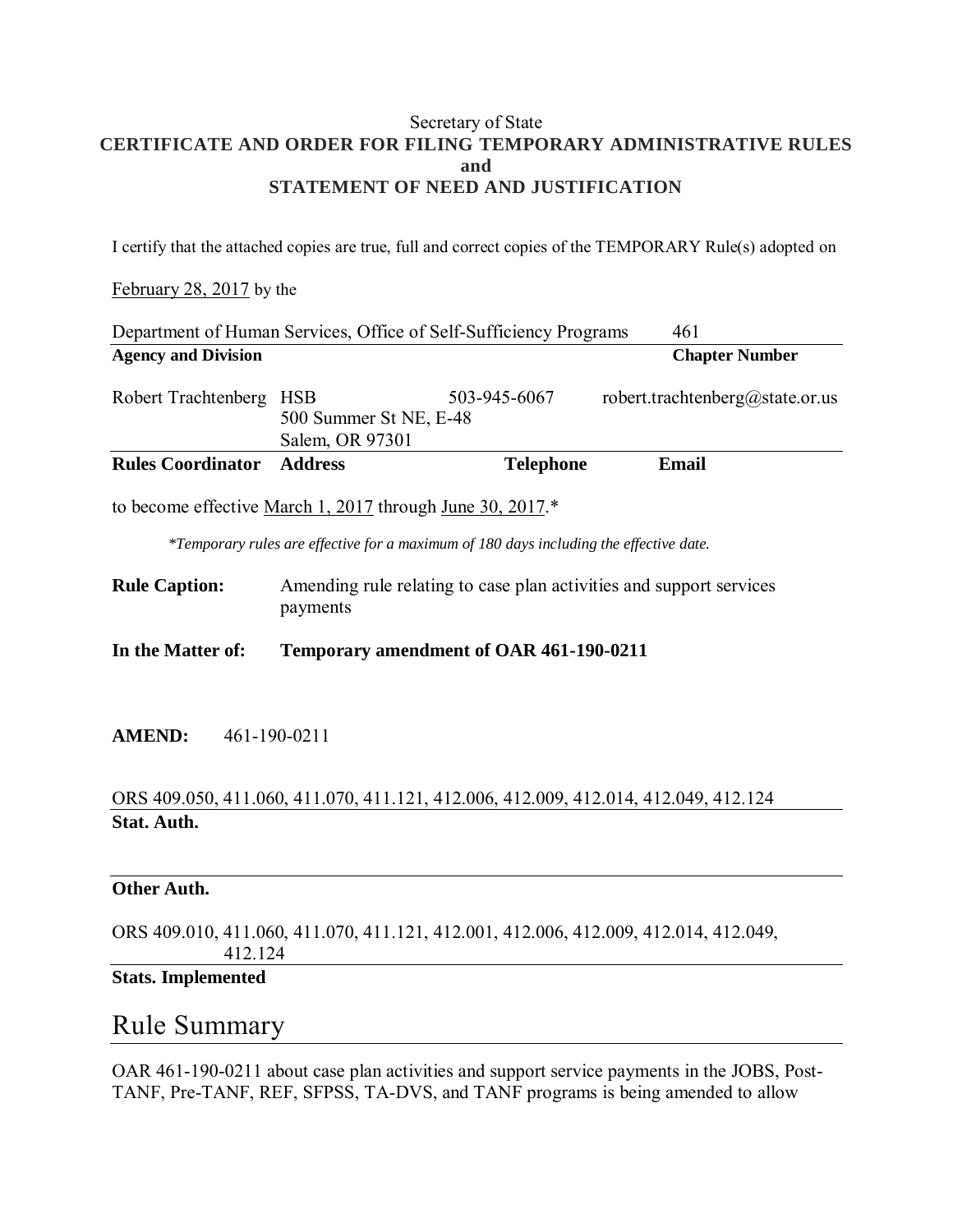### Secretary of State **CERTIFICATE AND ORDER FOR FILING TEMPORARY ADMINISTRATIVE RULES and STATEMENT OF NEED AND JUSTIFICATION**

I certify that the attached copies are true, full and correct copies of the TEMPORARY Rule(s) adopted on

#### February 28, 2017 by the

| <b>Rules Coordinator</b>                                                 | Salem, OR 97301<br><b>Address</b> | <b>Telephone</b> | Email                           |  |
|--------------------------------------------------------------------------|-----------------------------------|------------------|---------------------------------|--|
|                                                                          | 500 Summer St NE, E-48            |                  |                                 |  |
| Robert Trachtenberg HSB                                                  |                                   | 503-945-6067     | robert.trachtenberg@state.or.us |  |
| <b>Agency and Division</b>                                               |                                   |                  | <b>Chapter Number</b>           |  |
| Department of Human Services, Office of Self-Sufficiency Programs<br>461 |                                   |                  |                                 |  |

to become effective March 1, 2017 through June 30, 2017.\*

*\*Temporary rules are effective for a maximum of 180 days including the effective date.* 

| <b>Rule Caption:</b> | Amending rule relating to case plan activities and support services |
|----------------------|---------------------------------------------------------------------|
|                      | payments                                                            |

**In the Matter of: Temporary amendment of OAR 461-190-0211**

**AMEND:** 461-190-0211

## ORS 409.050, 411.060, 411.070, 411.121, 412.006, 412.009, 412.014, 412.049, 412.124 **Stat. Auth.**

#### **Other Auth.**

ORS 409.010, 411.060, 411.070, 411.121, 412.001, 412.006, 412.009, 412.014, 412.049, 412.124

## **Stats. Implemented**

## Rule Summary

OAR 461-190-0211 about case plan activities and support service payments in the JOBS, Post-TANF, Pre-TANF, REF, SFPSS, TA-DVS, and TANF programs is being amended to allow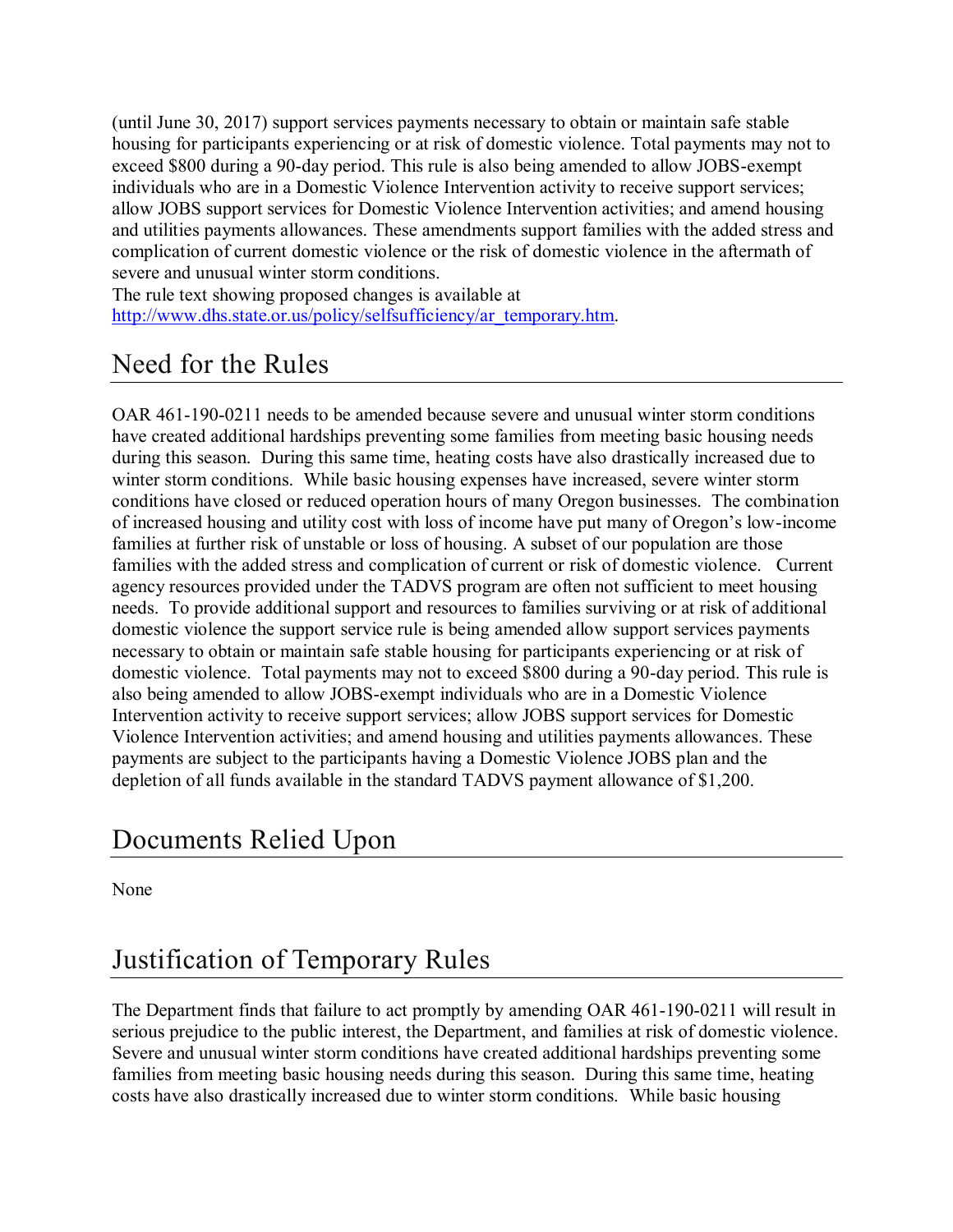(until June 30, 2017) support services payments necessary to obtain or maintain safe stable housing for participants experiencing or at risk of domestic violence. Total payments may not to exceed \$800 during a 90-day period. This rule is also being amended to allow JOBS-exempt individuals who are in a Domestic Violence Intervention activity to receive support services; allow JOBS support services for Domestic Violence Intervention activities; and amend housing and utilities payments allowances. These amendments support families with the added stress and complication of current domestic violence or the risk of domestic violence in the aftermath of severe and unusual winter storm conditions.

The rule text showing proposed changes is available at [http://www.dhs.state.or.us/policy/selfsufficiency/ar\\_temporary.htm.](http://www.dhs.state.or.us/policy/selfsufficiency/ar_temporary.htm)

# Need for the Rules

OAR 461-190-0211 needs to be amended because severe and unusual winter storm conditions have created additional hardships preventing some families from meeting basic housing needs during this season. During this same time, heating costs have also drastically increased due to winter storm conditions. While basic housing expenses have increased, severe winter storm conditions have closed or reduced operation hours of many Oregon businesses. The combination of increased housing and utility cost with loss of income have put many of Oregon's low-income families at further risk of unstable or loss of housing. A subset of our population are those families with the added stress and complication of current or risk of domestic violence. Current agency resources provided under the TADVS program are often not sufficient to meet housing needs. To provide additional support and resources to families surviving or at risk of additional domestic violence the support service rule is being amended allow support services payments necessary to obtain or maintain safe stable housing for participants experiencing or at risk of domestic violence. Total payments may not to exceed \$800 during a 90-day period. This rule is also being amended to allow JOBS-exempt individuals who are in a Domestic Violence Intervention activity to receive support services; allow JOBS support services for Domestic Violence Intervention activities; and amend housing and utilities payments allowances. These payments are subject to the participants having a Domestic Violence JOBS plan and the depletion of all funds available in the standard TADVS payment allowance of \$1,200.

# Documents Relied Upon

None

# Justification of Temporary Rules

The Department finds that failure to act promptly by amending OAR 461-190-0211 will result in serious prejudice to the public interest, the Department, and families at risk of domestic violence. Severe and unusual winter storm conditions have created additional hardships preventing some families from meeting basic housing needs during this season. During this same time, heating costs have also drastically increased due to winter storm conditions. While basic housing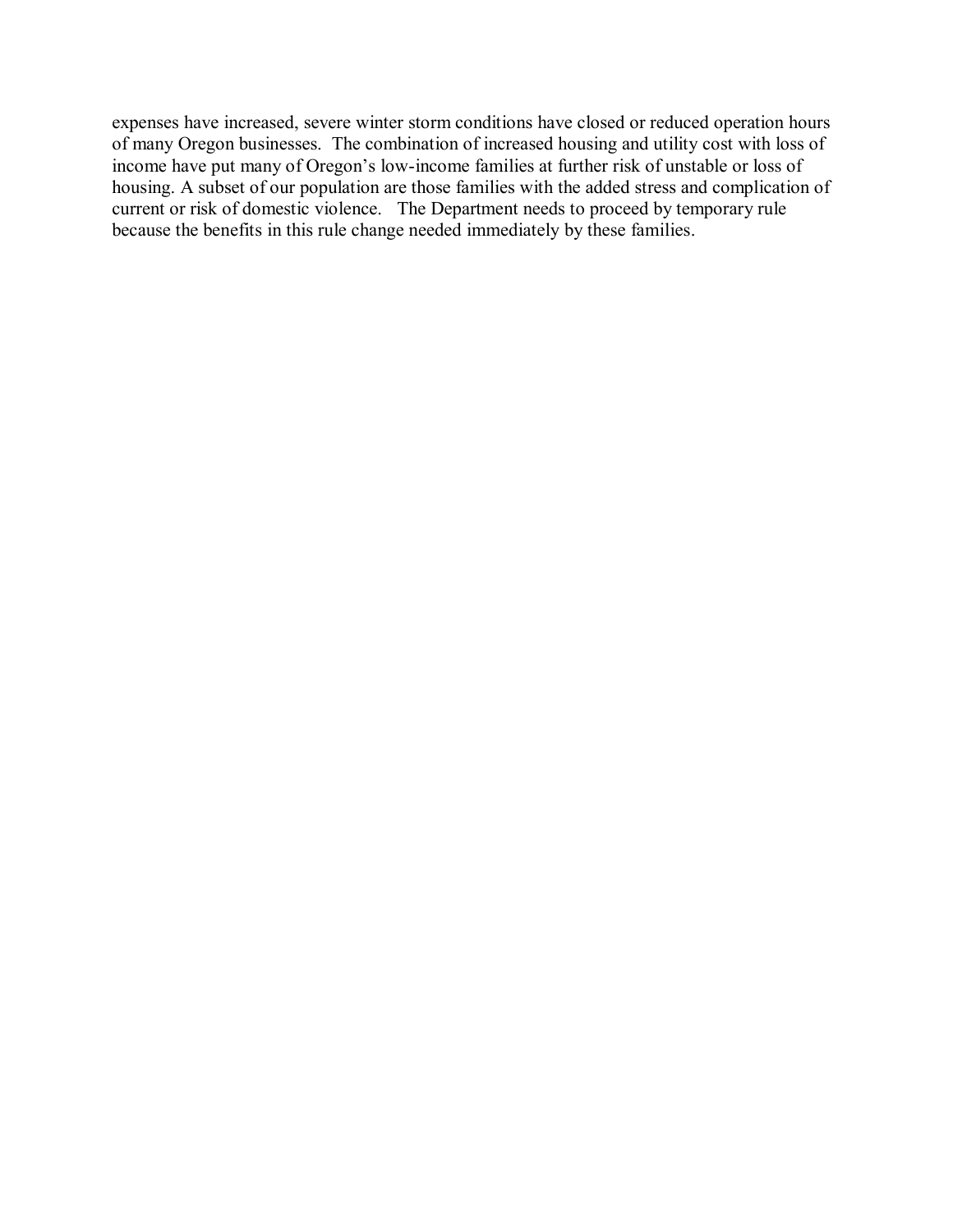expenses have increased, severe winter storm conditions have closed or reduced operation hours of many Oregon businesses. The combination of increased housing and utility cost with loss of income have put many of Oregon's low-income families at further risk of unstable or loss of housing. A subset of our population are those families with the added stress and complication of current or risk of domestic violence. The Department needs to proceed by temporary rule because the benefits in this rule change needed immediately by these families.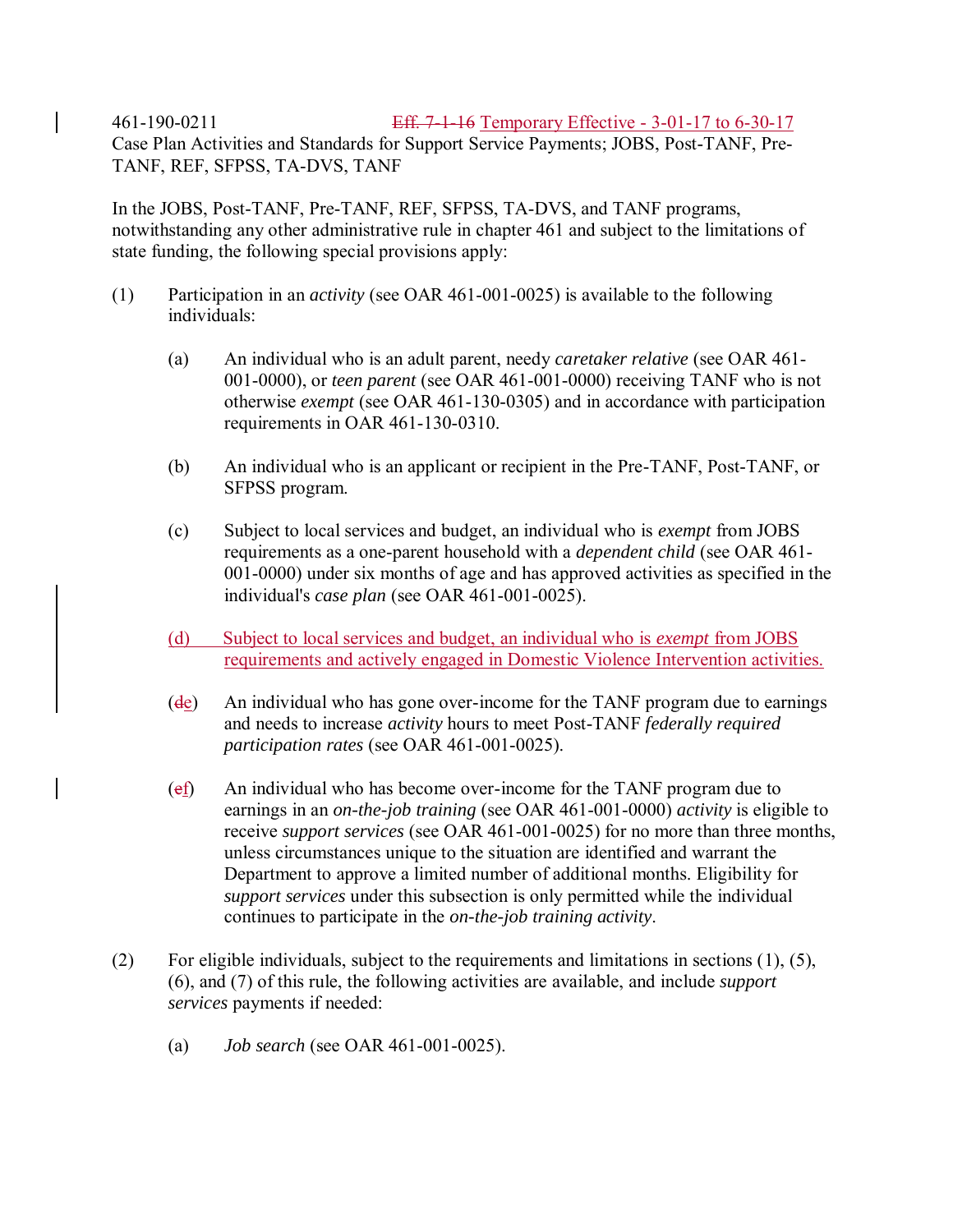461-190-0211 Eff. 7-1-16 Temporary Effective - 3-01-17 to 6-30-17

Case Plan Activities and Standards for Support Service Payments; JOBS, Post-TANF, Pre-TANF, REF, SFPSS, TA-DVS, TANF

In the JOBS, Post-TANF, Pre-TANF, REF, SFPSS, TA-DVS, and TANF programs, notwithstanding any other administrative rule in chapter 461 and subject to the limitations of state funding, the following special provisions apply:

- (1) Participation in an *activity* (see OAR 461-001-0025) is available to the following individuals:
	- (a) An individual who is an adult parent, needy *caretaker relative* (see OAR 461- 001-0000), or *teen parent* (see OAR 461-001-0000) receiving TANF who is not otherwise *exempt* (see OAR 461-130-0305) and in accordance with participation requirements in OAR 461-130-0310.
	- (b) An individual who is an applicant or recipient in the Pre-TANF, Post-TANF, or SFPSS program.
	- (c) Subject to local services and budget, an individual who is *exempt* from JOBS requirements as a one-parent household with a *dependent child* (see OAR 461- 001-0000) under six months of age and has approved activities as specified in the individual's *case plan* (see OAR 461-001-0025).
	- (d) Subject to local services and budget, an individual who is *exempt* from JOBS requirements and actively engaged in Domestic Violence Intervention activities.
	- $(d_{\mathcal{E}})$  An individual who has gone over-income for the TANF program due to earnings and needs to increase *activity* hours to meet Post-TANF *federally required participation rates* (see OAR 461-001-0025).
	- $(e_i)$  An individual who has become over-income for the TANF program due to earnings in an *on-the-job training* (see OAR 461-001-0000) *activity* is eligible to receive *support services* (see OAR 461-001-0025) for no more than three months, unless circumstances unique to the situation are identified and warrant the Department to approve a limited number of additional months. Eligibility for *support services* under this subsection is only permitted while the individual continues to participate in the *on-the-job training activity*.
- (2) For eligible individuals, subject to the requirements and limitations in sections (1), (5), (6), and (7) of this rule, the following activities are available, and include *support services* payments if needed:
	- (a) *Job search* (see OAR 461-001-0025).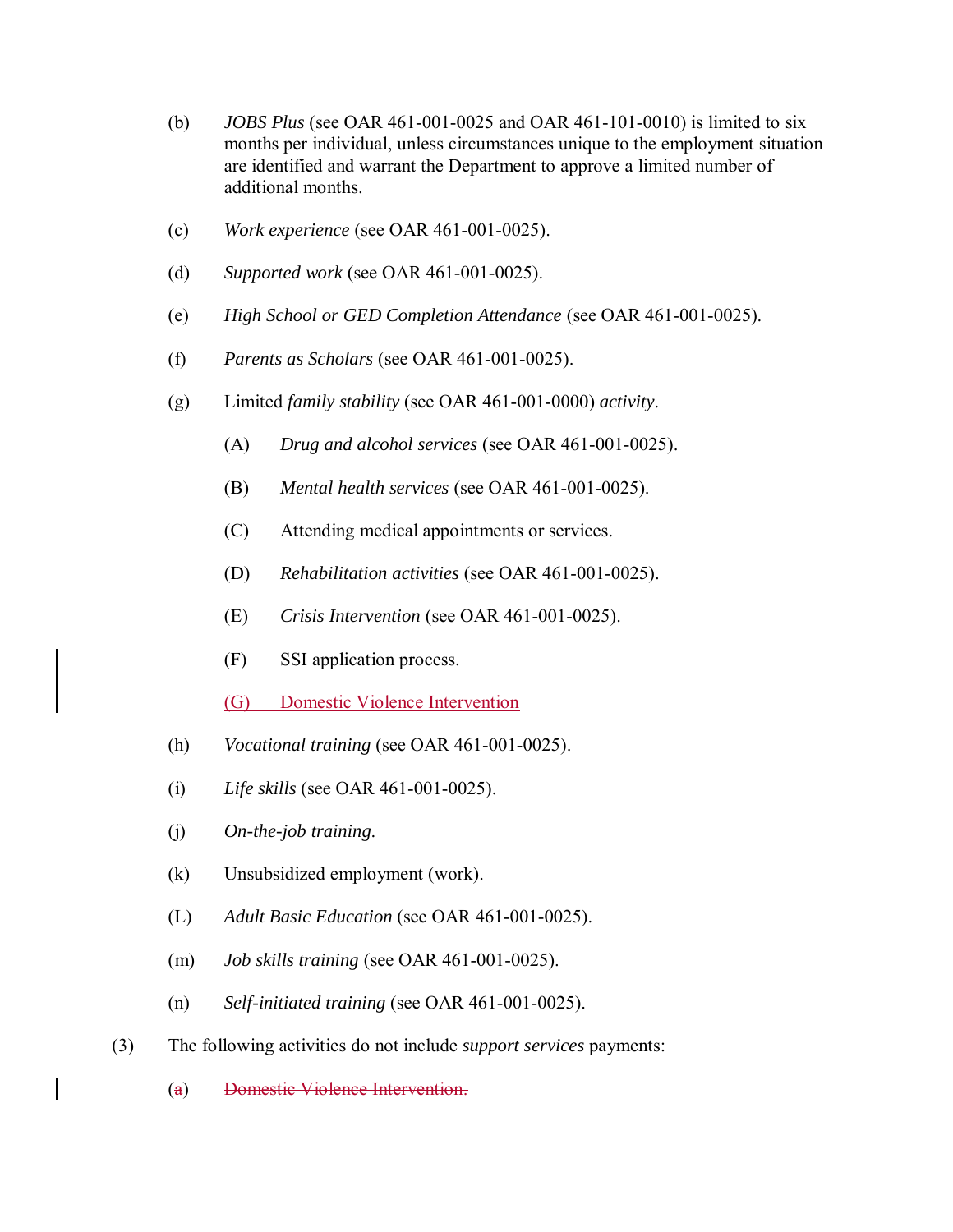- (b) *JOBS Plus* (see OAR 461-001-0025 and OAR 461-101-0010) is limited to six months per individual, unless circumstances unique to the employment situation are identified and warrant the Department to approve a limited number of additional months.
- (c) *Work experience* (see OAR 461-001-0025).
- (d) *Supported work* (see OAR 461-001-0025).
- (e) *High School or GED Completion Attendance* (see OAR 461-001-0025).
- (f) *Parents as Scholars* (see OAR 461-001-0025).
- (g) Limited *family stability* (see OAR 461-001-0000) *activity*.
	- (A) *Drug and alcohol services* (see OAR 461-001-0025).
	- (B) *Mental health services* (see OAR 461-001-0025).
	- (C) Attending medical appointments or services.
	- (D) *Rehabilitation activities* (see OAR 461-001-0025).
	- (E) *Crisis Intervention* (see OAR 461-001-0025).
	- (F) SSI application process.
	- (G) Domestic Violence Intervention
- (h) *Vocational training* (see OAR 461-001-0025).
- (i) *Life skills* (see OAR 461-001-0025).
- (j) *On-the-job training*.
- (k) Unsubsidized employment (work).
- (L) *Adult Basic Education* (see OAR 461-001-0025).
- (m) *Job skills training* (see OAR 461-001-0025).
- (n) *Self-initiated training* (see OAR 461-001-0025).
- (3) The following activities do not include *support services* payments:
	- (a) Domestic Violence Intervention.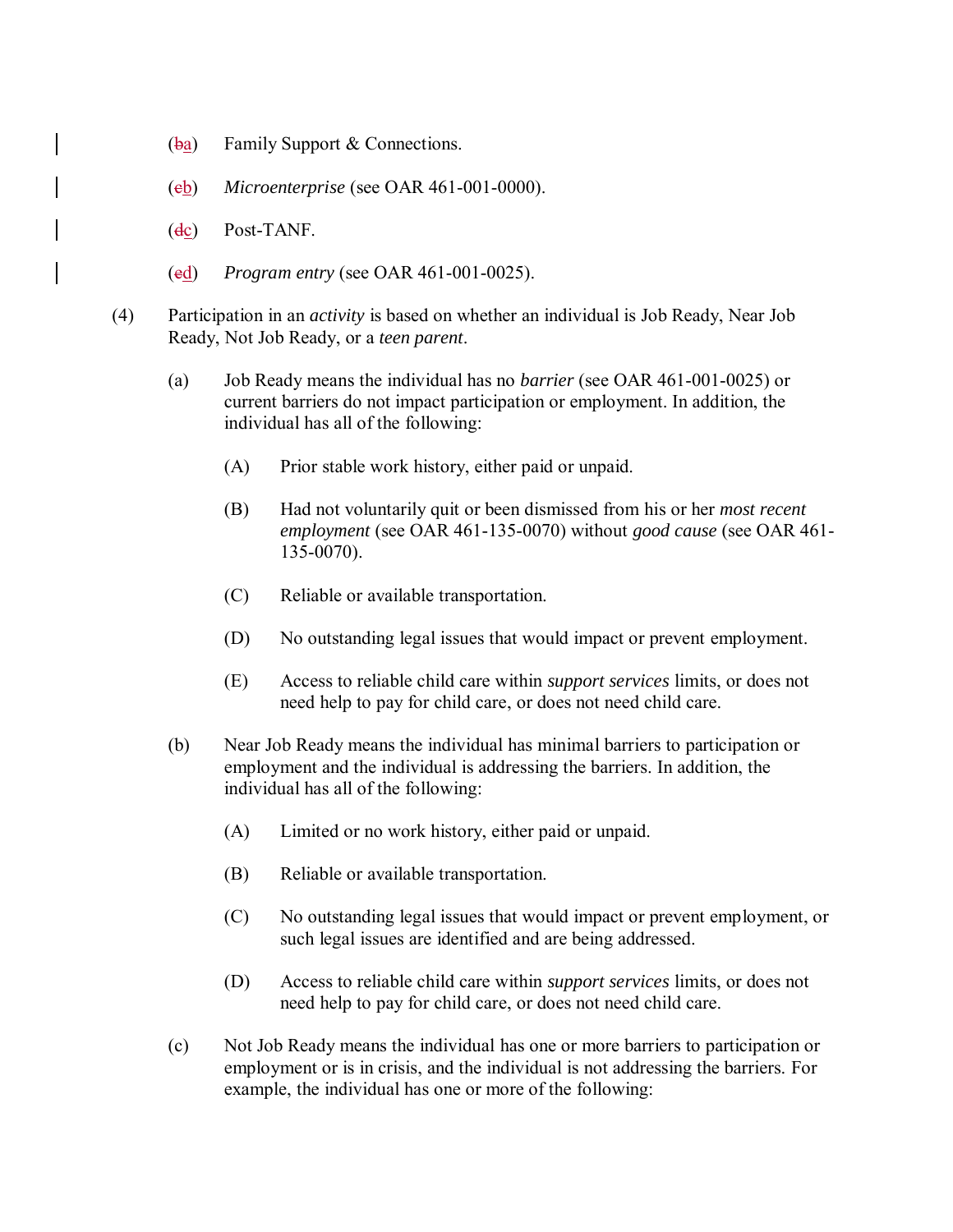- $(\frac{ba}{2})$  Family Support & Connections.
- (cb) *Microenterprise* (see OAR 461-001-0000).
- $(d_{\mathcal{C}})$  Post-TANF.
- (ed) *Program entry* (see OAR 461-001-0025).
- (4) Participation in an *activity* is based on whether an individual is Job Ready, Near Job Ready, Not Job Ready, or a *teen parent*.
	- (a) Job Ready means the individual has no *barrier* (see OAR 461-001-0025) or current barriers do not impact participation or employment. In addition, the individual has all of the following:
		- (A) Prior stable work history, either paid or unpaid.
		- (B) Had not voluntarily quit or been dismissed from his or her *most recent employment* (see OAR 461-135-0070) without *good cause* (see OAR 461- 135-0070).
		- (C) Reliable or available transportation.
		- (D) No outstanding legal issues that would impact or prevent employment.
		- (E) Access to reliable child care within *support services* limits, or does not need help to pay for child care, or does not need child care.
	- (b) Near Job Ready means the individual has minimal barriers to participation or employment and the individual is addressing the barriers. In addition, the individual has all of the following:
		- (A) Limited or no work history, either paid or unpaid.
		- (B) Reliable or available transportation.
		- (C) No outstanding legal issues that would impact or prevent employment, or such legal issues are identified and are being addressed.
		- (D) Access to reliable child care within *support services* limits, or does not need help to pay for child care, or does not need child care.
	- (c) Not Job Ready means the individual has one or more barriers to participation or employment or is in crisis, and the individual is not addressing the barriers. For example, the individual has one or more of the following: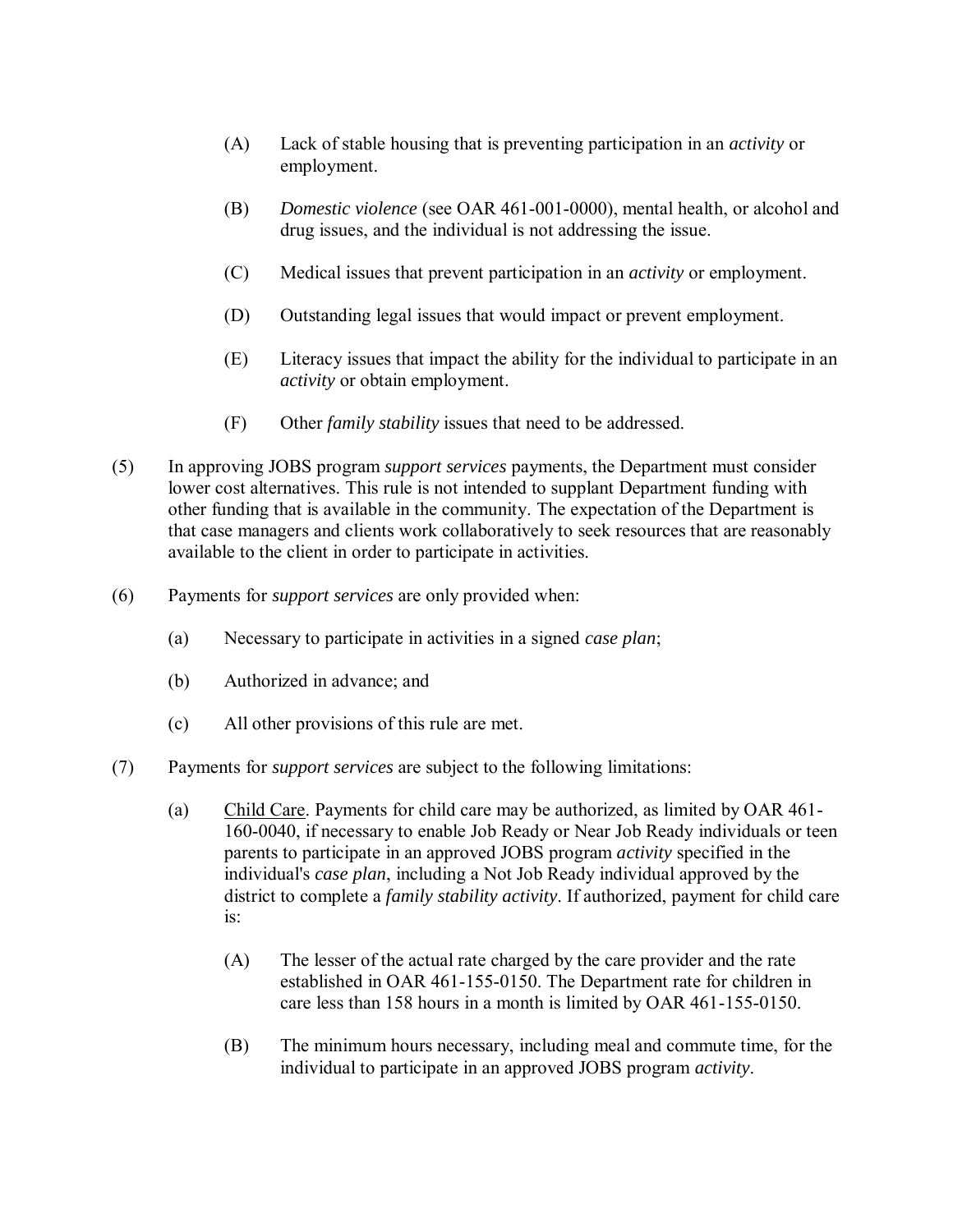- (A) Lack of stable housing that is preventing participation in an *activity* or employment.
- (B) *Domestic violence* (see OAR 461-001-0000), mental health, or alcohol and drug issues, and the individual is not addressing the issue.
- (C) Medical issues that prevent participation in an *activity* or employment.
- (D) Outstanding legal issues that would impact or prevent employment.
- (E) Literacy issues that impact the ability for the individual to participate in an *activity* or obtain employment.
- (F) Other *family stability* issues that need to be addressed.
- (5) In approving JOBS program *support services* payments, the Department must consider lower cost alternatives. This rule is not intended to supplant Department funding with other funding that is available in the community. The expectation of the Department is that case managers and clients work collaboratively to seek resources that are reasonably available to the client in order to participate in activities.
- (6) Payments for *support services* are only provided when:
	- (a) Necessary to participate in activities in a signed *case plan*;
	- (b) Authorized in advance; and
	- (c) All other provisions of this rule are met.
- (7) Payments for *support services* are subject to the following limitations:
	- (a) Child Care. Payments for child care may be authorized, as limited by OAR 461- 160-0040, if necessary to enable Job Ready or Near Job Ready individuals or teen parents to participate in an approved JOBS program *activity* specified in the individual's *case plan*, including a Not Job Ready individual approved by the district to complete a *family stability activity*. If authorized, payment for child care is:
		- (A) The lesser of the actual rate charged by the care provider and the rate established in OAR 461-155-0150. The Department rate for children in care less than 158 hours in a month is limited by OAR 461-155-0150.
		- (B) The minimum hours necessary, including meal and commute time, for the individual to participate in an approved JOBS program *activity*.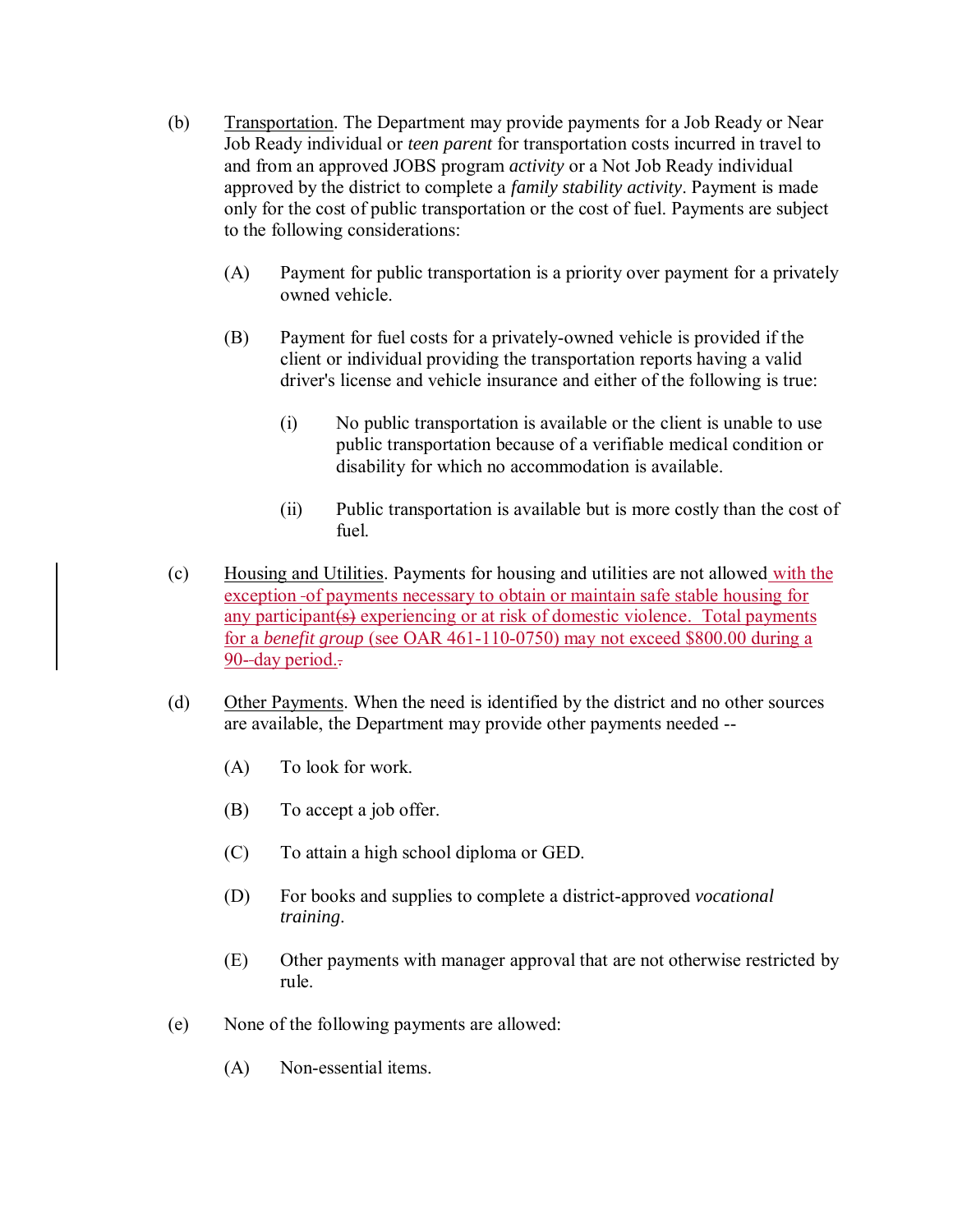- (b) Transportation. The Department may provide payments for a Job Ready or Near Job Ready individual or *teen parent* for transportation costs incurred in travel to and from an approved JOBS program *activity* or a Not Job Ready individual approved by the district to complete a *family stability activity*. Payment is made only for the cost of public transportation or the cost of fuel. Payments are subject to the following considerations:
	- (A) Payment for public transportation is a priority over payment for a privately owned vehicle.
	- (B) Payment for fuel costs for a privately-owned vehicle is provided if the client or individual providing the transportation reports having a valid driver's license and vehicle insurance and either of the following is true:
		- (i) No public transportation is available or the client is unable to use public transportation because of a verifiable medical condition or disability for which no accommodation is available.
		- (ii) Public transportation is available but is more costly than the cost of fuel.
- (c) Housing and Utilities. Payments for housing and utilities are not allowed with the exception of payments necessary to obtain or maintain safe stable housing for any participant(s) experiencing or at risk of domestic violence. Total payments for a *benefit group* (see OAR 461-110-0750) may not exceed \$800.00 during a 90--day period. $\pm$
- (d) Other Payments. When the need is identified by the district and no other sources are available, the Department may provide other payments needed --
	- (A) To look for work.
	- (B) To accept a job offer.
	- (C) To attain a high school diploma or GED.
	- (D) For books and supplies to complete a district-approved *vocational training*.
	- (E) Other payments with manager approval that are not otherwise restricted by rule.
- (e) None of the following payments are allowed:
	- (A) Non-essential items.